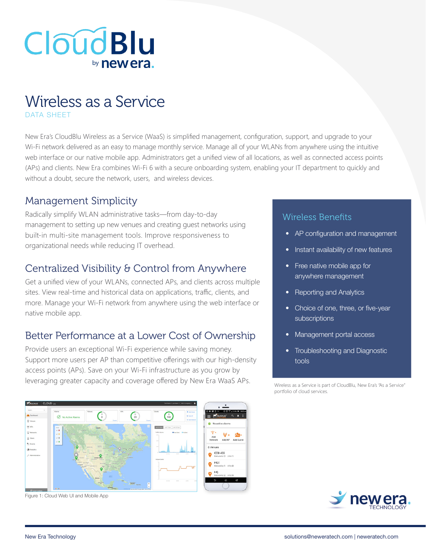# **CloudBlu** by new era

## Wireless as a Service DATA SHEET

New Era's CloudBlu Wireless as a Service (WaaS) is simplified management, configuration, support, and upgrade to your Wi-Fi network delivered as an easy to manage monthly service. Manage all of your WLANs from anywhere using the intuitive web interface or our native mobile app. Administrators get a unified view of all locations, as well as connected access points (APs) and clients. New Era combines Wi-Fi 6 with a secure onboarding system, enabling your IT department to quickly and without a doubt, secure the network, users, and wireless devices.

### Management Simplicity

Radically simplify WLAN administrative tasks—from day-to-day management to setting up new venues and creating guest networks using built-in multi-site management tools. Improve responsiveness to organizational needs while reducing IT overhead.

## Centralized Visibility & Control from Anywhere

Get a unified view of your WLANs, connected APs, and clients across multiple sites. View real-time and historical data on applications, traffic, clients, and more. Manage your Wi-Fi network from anywhere using the web interface or native mobile app.

## Better Performance at a Lower Cost of Ownership

Provide users an exceptional Wi-Fi experience while saving money. Support more users per AP than competitive offerings with our high-density access points (APs). Save on your Wi-Fi infrastructure as you grow by leveraging greater capacity and coverage offered by New Era WaaS APs.



Figure 1: Cloud Web UI and Mobile App

#### Wireless Benefits

- AP configuration and management
- Instant availability of new features
- Free native mobile app for anywhere management
- Reporting and Analytics
- Choice of one, three, or five-year **subscriptions**
- Management portal access
- Troubleshooting and Diagnostic tools

Wireless as a Service is part of CloudBlu, New Era's "As a Service" portfolio of cloud services.